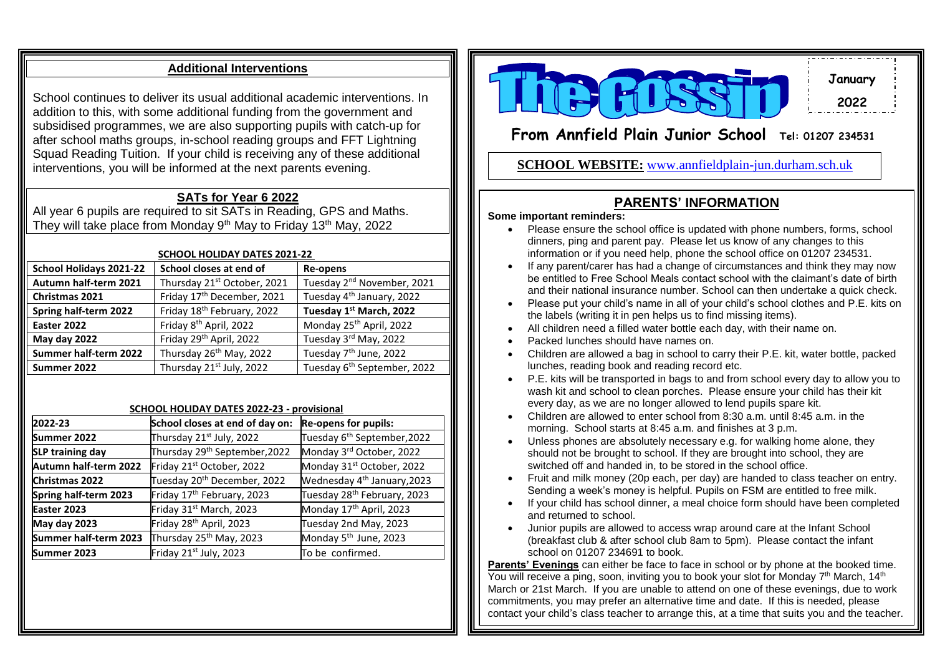## **Additional Interventions**

School continues to deliver its usual additional academic interventions. In addition to this, with some additional funding from the government and subsidised programmes, we are also supporting pupils with catch-up for after school maths groups, in-school reading groups and FFT Lightning Squad Reading Tuition. If your child is receiving any of these additional interventions, you will be informed at the next parents evening.

## **SATs for Year 6 2022**

All year 6 pupils are required to sit SATs in Reading, GPS and Maths. They will take place from Monday  $9<sup>th</sup>$  May to Friday 13<sup>th</sup> May, 2022

| <b>SCHOOL HOLIDAY DATES 2021-22</b> |                                         |                                         |
|-------------------------------------|-----------------------------------------|-----------------------------------------|
| School Holidays 2021-22             | School closes at end of                 | Re-opens                                |
| Autumn half-term 2021               | Thursday 21 <sup>st</sup> October, 2021 | Tuesday 2 <sup>nd</sup> November, 2021  |
| Christmas 2021                      | Friday 17 <sup>th</sup> December, 2021  | Tuesday 4 <sup>th</sup> January, 2022   |
| Spring half-term 2022               | Friday 18 <sup>th</sup> February, 2022  | Tuesday 1st March, 2022                 |
| Easter 2022                         | Friday 8 <sup>th</sup> April, 2022      | Monday 25 <sup>th</sup> April, 2022     |
| May day 2022                        | Friday 29th April, 2022                 | Tuesday 3rd May, 2022                   |
| Summer half-term 2022               | Thursday 26 <sup>th</sup> May, 2022     | Tuesday 7 <sup>th</sup> June, 2022      |
| Summer 2022                         | Thursday 21st July, 2022                | Tuesday 6 <sup>th</sup> September, 2022 |

#### **SCHOOL HOLIDAY DATES 2022-23 - provisional**

| 2022-23                 | School closes at end of day on:           | <b>Re-opens for pupils:</b>             |
|-------------------------|-------------------------------------------|-----------------------------------------|
| Summer 2022             | Thursday 21st July, 2022                  | Tuesday 6 <sup>th</sup> September, 2022 |
| <b>SLP training day</b> | Thursday 29 <sup>th</sup> September, 2022 | Monday 3rd October, 2022                |
| Autumn half-term 2022   | Friday 21st October, 2022                 | Monday 31 <sup>st</sup> October, 2022   |
| Christmas 2022          | Tuesday 20 <sup>th</sup> December, 2022   | Wednesday 4 <sup>th</sup> January, 2023 |
| Spring half-term 2023   | Friday 17 <sup>th</sup> February, 2023    | Tuesday 28 <sup>th</sup> February, 2023 |
| Easter 2023             | Friday 31 <sup>st</sup> March, 2023       | Monday 17 <sup>th</sup> April, 2023     |
| May day 2023            | Friday 28 <sup>th</sup> April, 2023       | Tuesday 2nd May, 2023                   |
| Summer half-term 2023   | Thursday 25 <sup>th</sup> May, 2023       | Monday 5 <sup>th</sup> June, 2023       |
| Summer 2023             | Friday 21 <sup>st</sup> July, 2023        | To be confirmed.                        |



**January 2022**

# **From Annfield Plain Junior School Tel: 01207 <sup>234531</sup>**

**<sup>22223234531234531234531</sup> SCHOOL WEBSITE:** [www.annfieldplain-jun.durham.sch.uk](http://www.annfieldplain-jun.durham.sch.uk/)

#### **PARENTS' INFORMATION**

#### **Some important reminders:**

- Please ensure the school office is updated with phone numbers, forms, school dinners, ping and parent pay. Please let us know of any changes to this information or if you need help, phone the school office on 01207 234531.
- If any parent/carer has had a change of circumstances and think they may now be entitled to Free School Meals contact school with the claimant's date of birth and their national insurance number. School can then undertake a quick check.
- Please put your child's name in all of your child's school clothes and P.E. kits on the labels (writing it in pen helps us to find missing items).
- All children need a filled water bottle each day, with their name on.
- Packed lunches should have names on.
- Children are allowed a bag in school to carry their P.E. kit, water bottle, packed lunches, reading book and reading record etc.
- P.E. kits will be transported in bags to and from school every day to allow you to wash kit and school to clean porches. Please ensure your child has their kit every day, as we are no longer allowed to lend pupils spare kit.
- Children are allowed to enter school from 8:30 a.m. until 8:45 a.m. in the morning. School starts at 8:45 a.m. and finishes at 3 p.m.
- Unless phones are absolutely necessary e.g. for walking home alone, they should not be brought to school. If they are brought into school, they are switched off and handed in, to be stored in the school office.
- Fruit and milk money (20p each, per day) are handed to class teacher on entry. Sending a week's money is helpful. Pupils on FSM are entitled to free milk.
- If your child has school dinner, a meal choice form should have been completed and returned to school.
- Junior pupils are allowed to access wrap around care at the Infant School (breakfast club & after school club 8am to 5pm). Please contact the infant school on 01207 234691 to book.

**Parents' Evenings** can either be face to face in school or by phone at the booked time. You will receive a ping, soon, inviting you to book your slot for Monday  $7<sup>th</sup>$  March, 14<sup>th</sup> March or 21st March. If you are unable to attend on one of these evenings, due to work commitments, you may prefer an alternative time and date. If this is needed, please contact your child's class teacher to arrange this, at a time that suits you and the teacher.